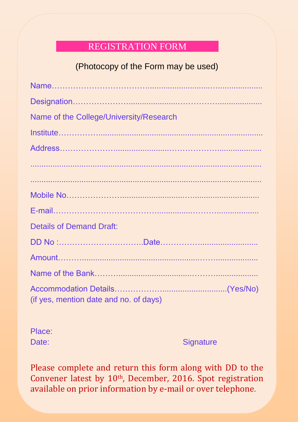### REGISTRATION FORM

# (Photocopy of the Form may be used)

| Name of the College/University/Research |
|-----------------------------------------|
|                                         |
|                                         |
|                                         |
|                                         |
|                                         |
|                                         |
| <b>Details of Demand Draft:</b>         |
|                                         |
|                                         |
|                                         |
| (if yes, mention date and no. of days)  |
|                                         |

| Place: |  |
|--------|--|
| Date:  |  |

Signature

 **UGGC BOOT SPONSORED IS NATIONAL SERVICE**<br> **U** able on prior information by e-mail or over telenhone **ON** Please complete and return this form along with DD to the Convener latest by 10<sup>th</sup>, December, 2016. Spot registration available on prior information by e-mail or over telephone.